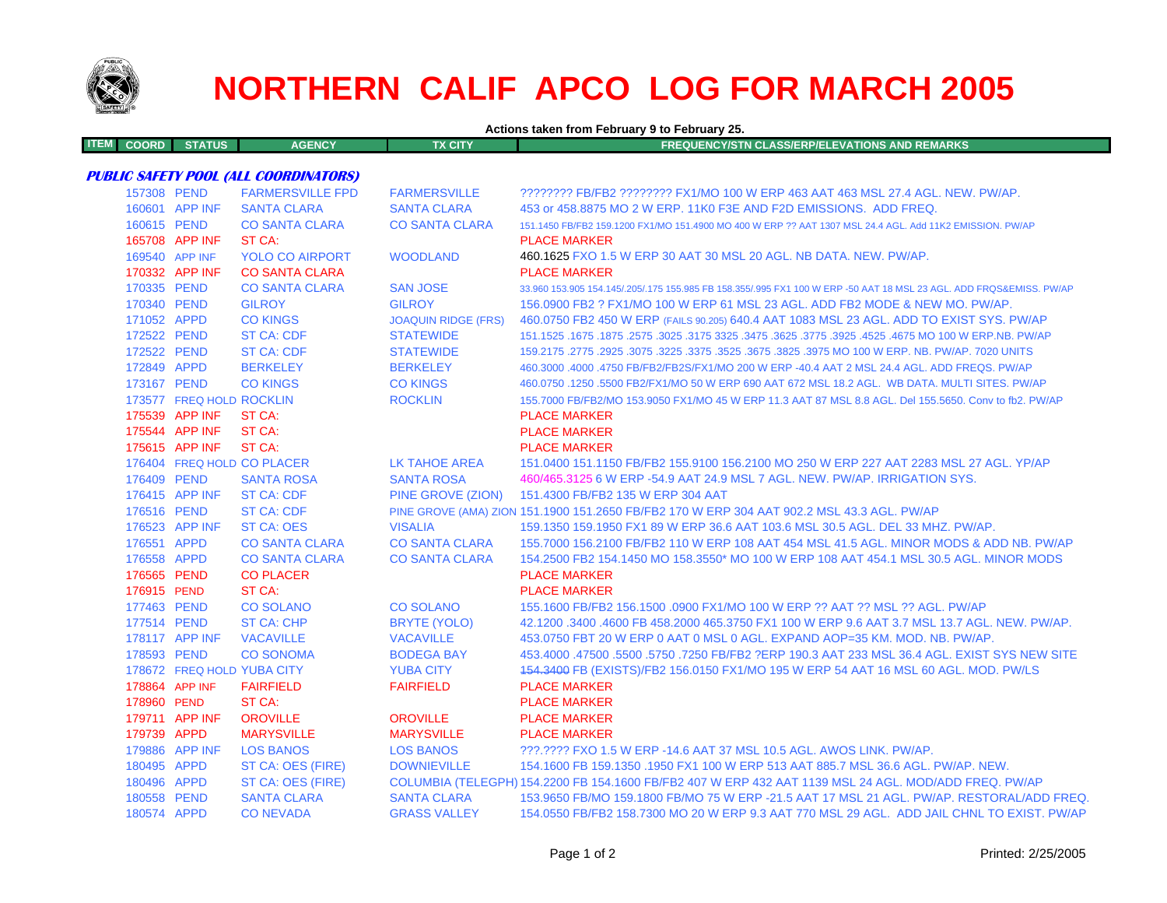

# **NORTHERN CALIF APCO LOG FOR MARCH 2005**

|                             |                          |                                       |                            | Actions taken from February 9 to February 25.                                                                       |
|-----------------------------|--------------------------|---------------------------------------|----------------------------|---------------------------------------------------------------------------------------------------------------------|
| <b>ITEM</b><br><b>COORD</b> | <b>STATUS</b>            | <b>AGENCY</b>                         | <b>TX CITY</b>             | <b>FREQUENCY/STN CLASS/ERP/ELEVATIONS AND REMARKS</b>                                                               |
|                             |                          | PUBLIC SAFETY POOL (ALL COORDINATORS) |                            |                                                                                                                     |
| 157308 PEND                 |                          | <b>FARMERSVILLE FPD</b>               | <b>FARMERSVILLE</b>        | ???????? FB/FB2 ???????? FX1/MO 100 W ERP 463 AAT 463 MSL 27.4 AGL. NEW. PW/AP.                                     |
|                             | 160601 APP INF           | <b>SANTA CLARA</b>                    | <b>SANTA CLARA</b>         | 453 or 458,8875 MO 2 W ERP, 11K0 F3E AND F2D EMISSIONS. ADD FREQ.                                                   |
| 160615 PEND                 |                          | <b>CO SANTA CLARA</b>                 | <b>CO SANTA CLARA</b>      | 151.1450 FB/FB2 159.1200 FX1/MO 151.4900 MO 400 W ERP ?? AAT 1307 MSL 24.4 AGL. Add 11K2 EMISSION. PW/AP            |
|                             | 165708 APP INF           | ST CA:                                |                            | <b>PLACE MARKER</b>                                                                                                 |
|                             | 169540 APP INF           | <b>YOLO CO AIRPORT</b>                | <b>WOODLAND</b>            | 460.1625 FXO 1.5 W ERP 30 AAT 30 MSL 20 AGL. NB DATA. NEW. PW/AP.                                                   |
|                             | 170332 APP INF           | <b>CO SANTA CLARA</b>                 |                            | <b>PLACE MARKER</b>                                                                                                 |
| 170335 PEND                 |                          | <b>CO SANTA CLARA</b>                 | <b>SAN JOSE</b>            | 33,960 153,905 154,145/.205/.175 155,985 FB 158,355/.995 FX1 100 W ERP -50 AAT 18 MSL 23 AGL. ADD FRQS&EMISS, PW/AP |
| 170340 PEND                 |                          | <b>GILROY</b>                         | <b>GILROY</b>              | 156,0900 FB2 ? FX1/MO 100 W ERP 61 MSL 23 AGL, ADD FB2 MODE & NEW MO, PW/AP.                                        |
| 171052 APPD                 |                          | <b>CO KINGS</b>                       | <b>JOAQUIN RIDGE (FRS)</b> | 460.0750 FB2 450 W ERP (FAILS 90.205) 640.4 AAT 1083 MSL 23 AGL. ADD TO EXIST SYS. PW/AP                            |
| 172522 PEND                 |                          | <b>ST CA: CDF</b>                     | <b>STATEWIDE</b>           | 151.1525 .1675 MO 100 W ERP.NB. PW/AP .2575 .3625 .3475 .3475 .3625 .3475 .3625 .3025 .1675 .1675 .5625 .1675       |
| 172522 PEND                 |                          | <b>ST CA: CDF</b>                     | <b>STATEWIDE</b>           | 159,2175, 2775, 2925, 3075, 3225, 3375, 3525, 3675, 3825, 3975 MO 100 W ERP, NB, PW/AP, 7020 UNITS                  |
| 172849 APPD                 |                          | <b>BERKELEY</b>                       | <b>BERKELEY</b>            | 460.3000 .4000 .4750 FB/FB2/FB2S/FX1/MO 200 W ERP -40.4 AAT 2 MSL 24.4 AGL. ADD FREQS. PW/AP                        |
| 173167 PEND                 |                          | <b>CO KINGS</b>                       | <b>CO KINGS</b>            | 460.0750 .1250 .5500 FB2/FX1/MO 50 W ERP 690 AAT 672 MSL 18.2 AGL. WB DATA, MULTI SITES, PW/AP                      |
|                             | 173577 FREQ HOLD ROCKLIN |                                       | <b>ROCKLIN</b>             | 155.7000 FB/FB2/MO 153.9050 FX1/MO 45 W ERP 11.3 AAT 87 MSL 8.8 AGL. Del 155.5650. Conv to fb2. PW/AP               |
|                             | 175539 APP INF           | ST CA:                                |                            | <b>PLACE MARKER</b>                                                                                                 |
|                             | 175544 APP INF           | ST CA:                                |                            | <b>PLACE MARKER</b>                                                                                                 |
|                             | 175615 APP INF           | ST CA:                                |                            | <b>PLACE MARKER</b>                                                                                                 |
|                             |                          | 176404 FREQ HOLD CO PLACER            | LK TAHOE AREA              | 151.0400 151.1150 FB/FB2 155.9100 156.2100 MO 250 W ERP 227 AAT 2283 MSL 27 AGL, YP/AP                              |
| 176409 PEND                 |                          | <b>SANTA ROSA</b>                     | <b>SANTA ROSA</b>          | 460/465.3125 6 W ERP -54.9 AAT 24.9 MSL 7 AGL, NEW, PW/AP, IRRIGATION SYS.                                          |
|                             | 176415 APP INF           | <b>ST CA: CDF</b>                     | PINE GROVE (ZION)          | 151.4300 FB/FB2 135 W ERP 304 AAT                                                                                   |
| 176516 PEND                 |                          | <b>ST CA: CDF</b>                     |                            | PINE GROVE (AMA) ZION 151.1900 151.2650 FB/FB2 170 W ERP 304 AAT 902.2 MSL 43.3 AGL. PW/AP                          |
|                             | 176523 APP INF           | <b>ST CA: OES</b>                     | <b>VISALIA</b>             | 159.1350 159.1950 FX1 89 W ERP 36.6 AAT 103.6 MSL 30.5 AGL, DEL 33 MHZ, PW/AP,                                      |
| 176551 APPD                 |                          | <b>CO SANTA CLARA</b>                 | <b>CO SANTA CLARA</b>      | 155,7000 156,2100 FB/FB2 110 W ERP 108 AAT 454 MSL 41.5 AGL, MINOR MODS & ADD NB, PW/AP                             |
| 176558 APPD                 |                          | <b>CO SANTA CLARA</b>                 | <b>CO SANTA CLARA</b>      | 154,2500 FB2 154,1450 MO 158,3550* MO 100 W ERP 108 AAT 454,1 MSL 30.5 AGL. MINOR MODS                              |
| 176565 PEND                 |                          | <b>CO PLACER</b>                      |                            | <b>PLACE MARKER</b>                                                                                                 |
| 176915 PEND                 |                          | ST CA:                                |                            | <b>PLACE MARKER</b>                                                                                                 |
| 177463 PEND                 |                          | <b>CO SOLANO</b>                      | <b>CO SOLANO</b>           | 155.1600 FB/FB2 156.1500 .0900 FX1/MO 100 W ERP ?? AAT ?? MSL ?? AGL, PW/AP                                         |
| 177514 PEND                 |                          | <b>ST CA: CHP</b>                     | <b>BRYTE (YOLO)</b>        | 42.1200 .3400 .4600 FB 458.2000 465.3750 FX1 100 W ERP 9.6 AAT 3.7 MSL 13.7 AGL, NEW, PW/AP.                        |
|                             | 178117 APP INF           | <b>VACAVILLE</b>                      | <b>VACAVILLE</b>           | 453,0750 FBT 20 W ERP 0 AAT 0 MSL 0 AGL, EXPAND AOP=35 KM, MOD, NB, PW/AP,                                          |
| 178593 PEND                 |                          | <b>CO SONOMA</b>                      | <b>BODEGA BAY</b>          | 453,4000 .47500 .5500 .5750 .7250 FB/FB2 ?ERP 190.3 AAT 233 MSL 36.4 AGL. EXIST SYS NEW SITE                        |
|                             |                          | 178672 FREQ HOLD YUBA CITY            | <b>YUBA CITY</b>           | 454.3400 FB (EXISTS)/FB2 156.0150 FX1/MO 195 W ERP 54 AAT 16 MSL 60 AGL. MOD. PW/LS                                 |
|                             | 178864 APP INF           | <b>FAIRFIELD</b>                      | <b>FAIRFIELD</b>           | <b>PLACE MARKER</b>                                                                                                 |
| 178960 PEND                 |                          | ST CA:                                |                            | <b>PLACE MARKER</b>                                                                                                 |

 APP INF OROVILLE OROVILLE PLACE MARKER APPD MARYSVILLE MARYSVILLE PLACE MARKER APP INF LOS BANOS LOS BANOS ???.???? FXO 1.5 W ERP -14.6 AAT 37 MSL 10.5 AGL. AWOS LINK. PW/AP. APPD ST CA: OES (FIRE) DOWNIEVILLE 154.1600 FB 159.1350 .1950 FX1 100 W ERP 513 AAT 885.7 MSL 36.6 AGL. PW/AP. NEW. APPD ST CA: OES (FIRE) COLUMBIA (TELEGPH) 154.2200 FB 154.1600 FB/FB2 407 W ERP 432 AAT 1139 MSL 24 AGL. MOD/ADD FREQ. PW/AP PEND SANTA CLARA SANTA CLARA 153.9650 FB/MO 159.1800 FB/MO 75 W ERP -21.5 AAT 17 MSL 21 AGL. PW/AP. RESTORAL/ADD FREQ. APPD CO NEVADA GRASS VALLEY 154.0550 FB/FB2 158.7300 MO 20 W ERP 9.3 AAT 770 MSL 29 AGL. ADD JAIL CHNL TO EXIST. PW/AP